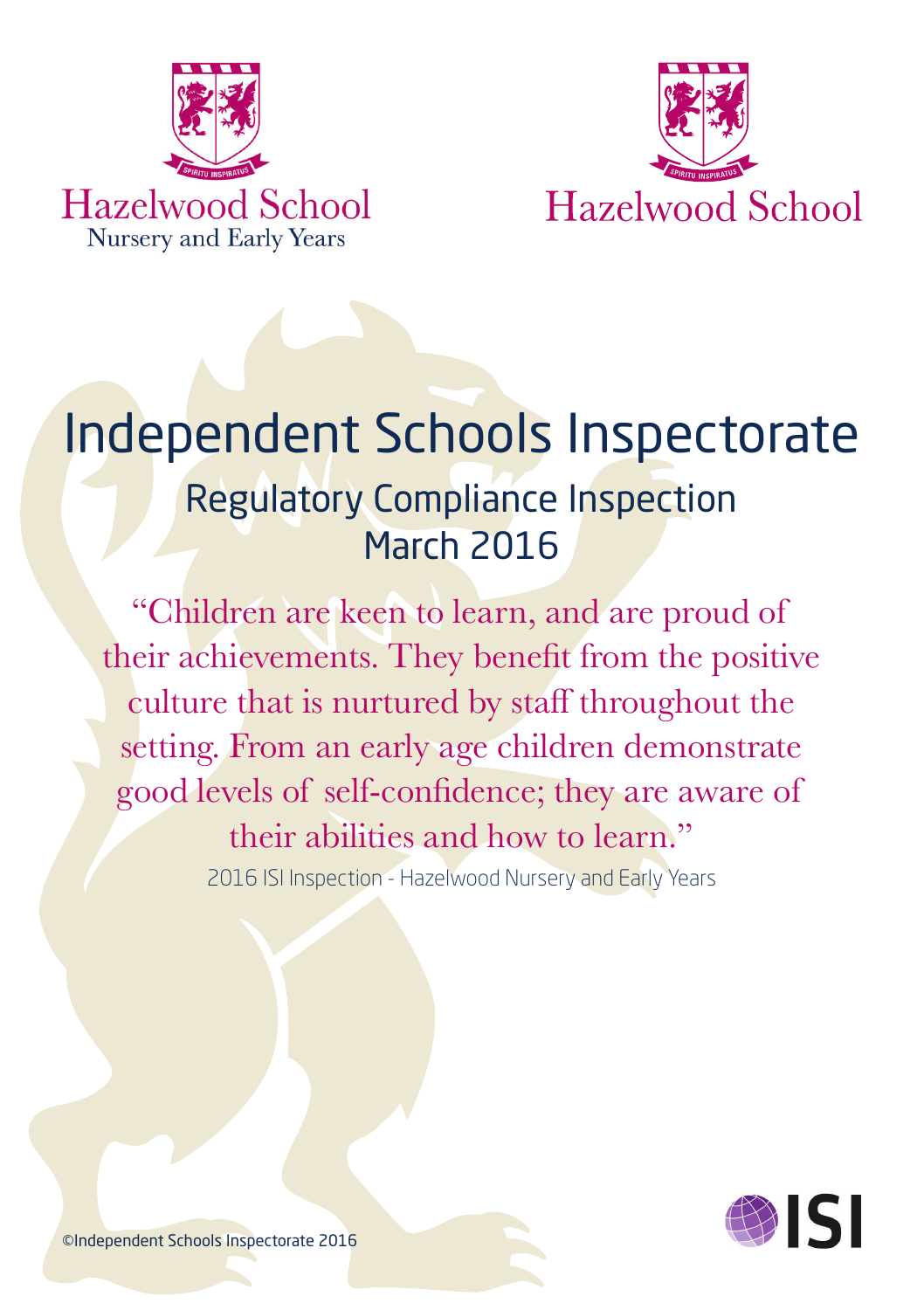



# Independent Schools Inspectorate Regulatory Compliance Inspection March 2016

"Children are keen to learn, and are proud of their achievements. They benefit from the positive culture that is nurtured by staff throughout the setting. From an early age children demonstrate good levels of self-confidence; they are aware of their abilities and how to learn." 2016 ISI Inspection - Hazelwood Nursery and Early Years



©Independent Schools Inspectorate 2016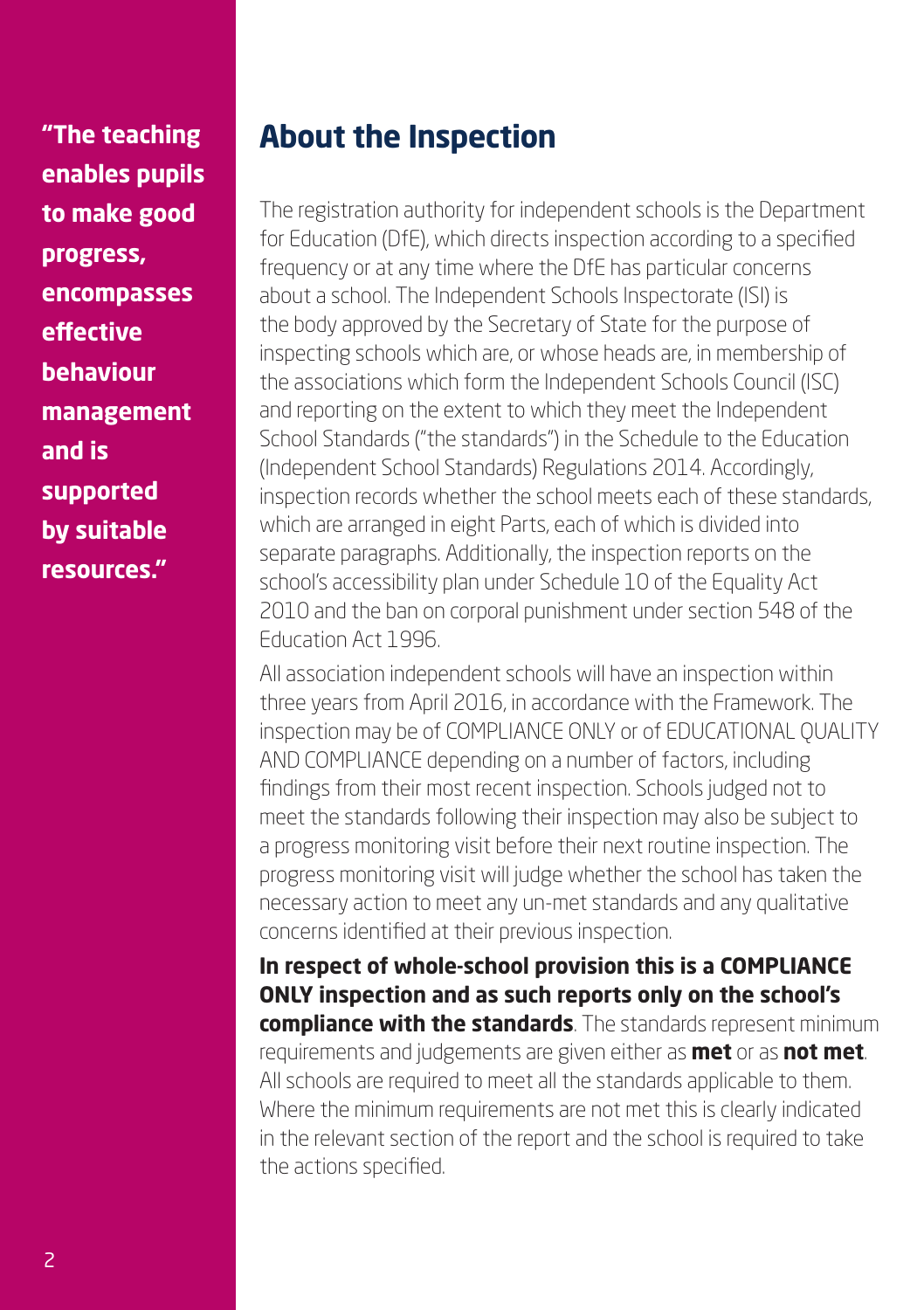**"The teaching enables pupils to make good progress, encompasses effective behaviour management and is supported by suitable resources."**

# **About the Inspection**

The registration authority for independent schools is the Department for Education (DfE), which directs inspection according to a specified frequency or at any time where the DfE has particular concerns about a school. The Independent Schools Inspectorate (ISI) is the body approved by the Secretary of State for the purpose of inspecting schools which are, or whose heads are, in membership of the associations which form the Independent Schools Council (ISC) and reporting on the extent to which they meet the Independent School Standards ("the standards") in the Schedule to the Education (Independent School Standards) Regulations 2014. Accordingly, inspection records whether the school meets each of these standards, which are arranged in eight Parts, each of which is divided into separate paragraphs. Additionally, the inspection reports on the school's accessibility plan under Schedule 10 of the Equality Act 2010 and the ban on corporal punishment under section 548 of the Education Act 1996.

All association independent schools will have an inspection within three years from April 2016, in accordance with the Framework. The inspection may be of COMPLIANCE ONLY or of EDUCATIONAL QUALITY AND COMPLIANCE depending on a number of factors, including findings from their most recent inspection. Schools judged not to meet the standards following their inspection may also be subject to a progress monitoring visit before their next routine inspection. The progress monitoring visit will judge whether the school has taken the necessary action to meet any un-met standards and any qualitative concerns identified at their previous inspection.

**In respect of whole-school provision this is a COMPLIANCE ONLY inspection and as such reports only on the school's compliance with the standards**. The standards represent minimum requirements and judgements are given either as **met** or as **not met**. All schools are required to meet all the standards applicable to them. Where the minimum requirements are not met this is clearly indicated in the relevant section of the report and the school is required to take the actions specified.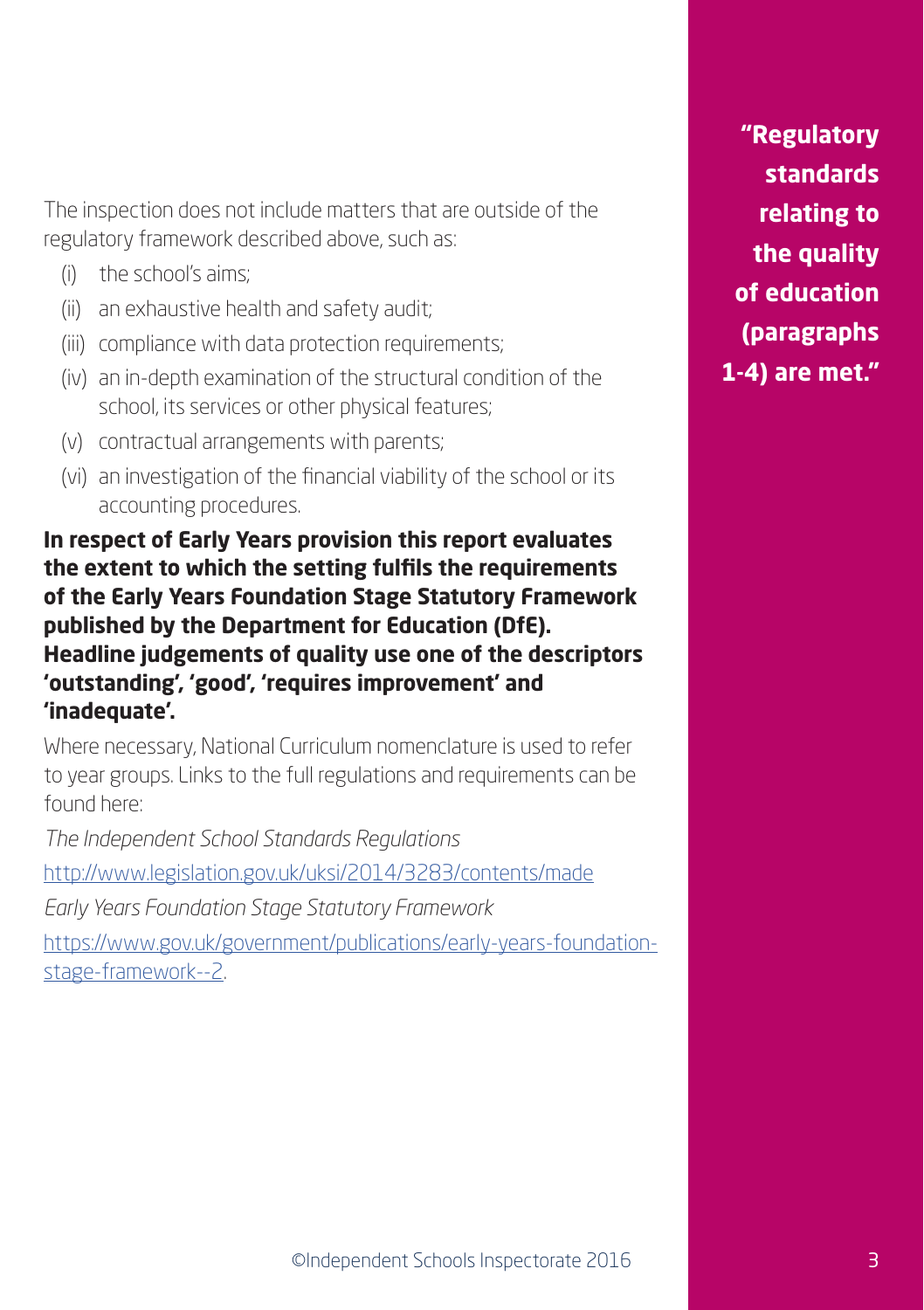The inspection does not include matters that are outside of the regulatory framework described above, such as:

- (i) the school's aims;
- (ii) an exhaustive health and safety audit;
- (iii) compliance with data protection requirements;
- (iv) an in-depth examination of the structural condition of the school, its services or other physical features;
- (v) contractual arrangements with parents;
- (vi) an investigation of the financial viability of the school or its accounting procedures.

**In respect of Early Years provision this report evaluates the extent to which the setting fulfils the requirements of the Early Years Foundation Stage Statutory Framework published by the Department for Education (DfE). Headline judgements of quality use one of the descriptors 'outstanding', 'good', 'requires improvement' and 'inadequate'.**

Where necessary, National Curriculum nomenclature is used to refer to year groups. Links to the full regulations and requirements can be found here:

*The Independent School Standards Regulations*

<http://www.legislation.gov.uk/uksi/2014/3283/contents/made>

*Early Years Foundation Stage Statutory Framework*

[https://www.gov.uk/government/publications/early-years-foundation](https://www.gov.uk/government/publications/early-years-foundation-stage-framework--2)[stage-framework--2.](https://www.gov.uk/government/publications/early-years-foundation-stage-framework--2)

**"Regulatory standards relating to the quality of education (paragraphs 1-4) are met."**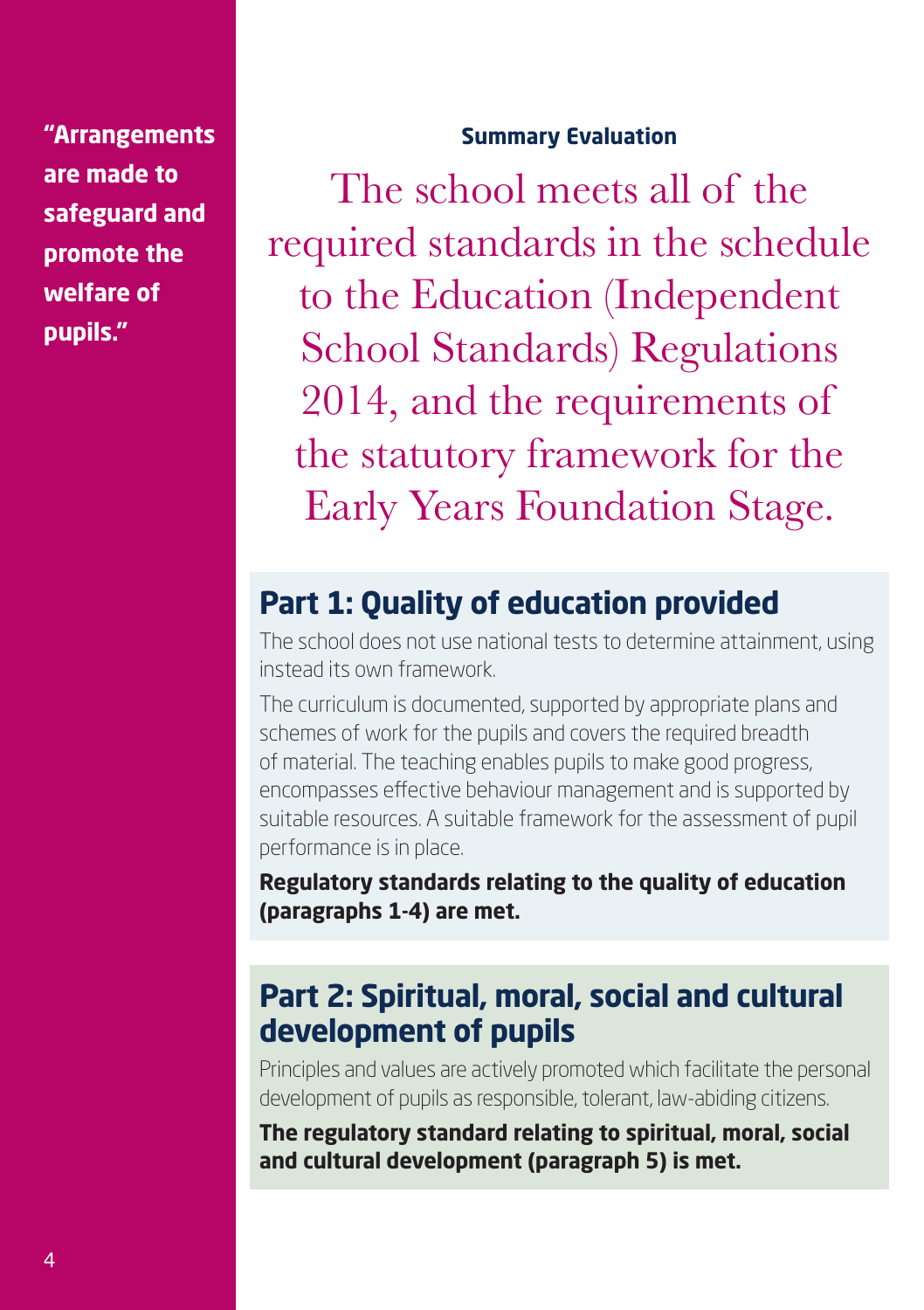**"Arrangements are made to safeguard and promote the welfare of pupils."**

#### **Summary Evaluation**

The school meets all of the required standards in the schedule to the Education (Independent School Standards) Regulations 2014, and the requirements of the statutory framework for the Early Years Foundation Stage.

### **Part 1: Quality of education provided**

The school does not use national tests to determine attainment, using instead its own framework.

The curriculum is documented, supported by appropriate plans and schemes of work for the pupils and covers the required breadth of material. The teaching enables pupils to make good progress, encompasses effective behaviour management and is supported by suitable resources. A suitable framework for the assessment of pupil performance is in place.

**Regulatory standards relating to the quality of education (paragraphs 1-4) are met.**

### **Part 2: Spiritual, moral, social and cultural development of pupils**

Principles and values are actively promoted which facilitate the personal development of pupils as responsible, tolerant, law-abiding citizens.

**The regulatory standard relating to spiritual, moral, social and cultural development (paragraph 5) is met.**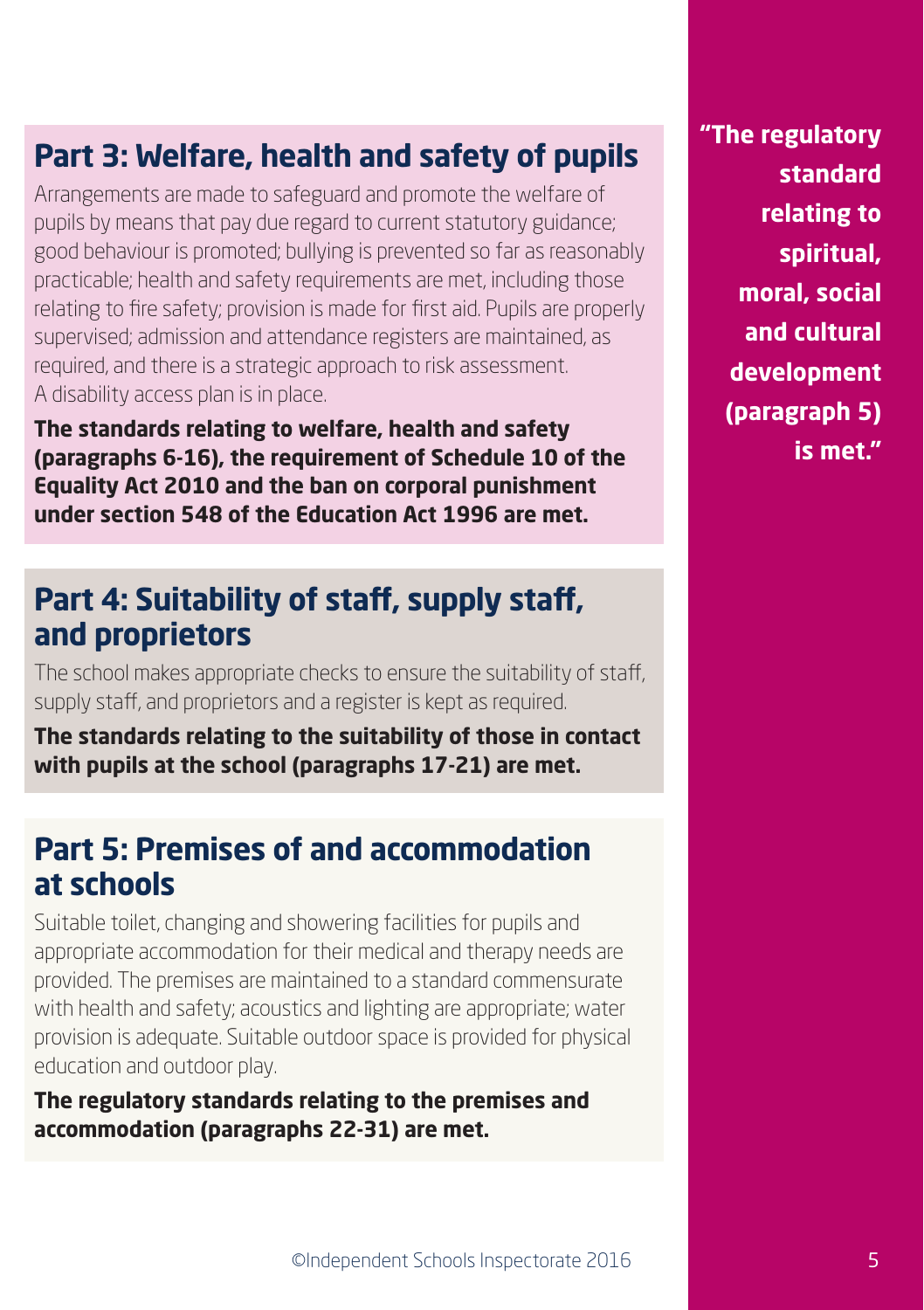# **Part 3: Welfare, health and safety of pupils**

Arrangements are made to safeguard and promote the welfare of pupils by means that pay due regard to current statutory guidance; good behaviour is promoted; bullying is prevented so far as reasonably practicable; health and safety requirements are met, including those relating to fire safety; provision is made for first aid. Pupils are properly supervised; admission and attendance registers are maintained, as required, and there is a strategic approach to risk assessment. A disability access plan is in place.

**The standards relating to welfare, health and safety (paragraphs 6-16), the requirement of Schedule 10 of the Equality Act 2010 and the ban on corporal punishment under section 548 of the Education Act 1996 are met.**

### **Part 4: Suitability of staff, supply staff, and proprietors**

The school makes appropriate checks to ensure the suitability of staff, supply staff, and proprietors and a register is kept as required.

**The standards relating to the suitability of those in contact with pupils at the school (paragraphs 17-21) are met.**

### **Part 5: Premises of and accommodation at schools**

Suitable toilet, changing and showering facilities for pupils and appropriate accommodation for their medical and therapy needs are provided. The premises are maintained to a standard commensurate with health and safety; acoustics and lighting are appropriate; water provision is adequate. Suitable outdoor space is provided for physical education and outdoor play.

**The regulatory standards relating to the premises and accommodation (paragraphs 22-31) are met.**

**"The regulatory standard relating to spiritual, moral, social and cultural development (paragraph 5) is met."**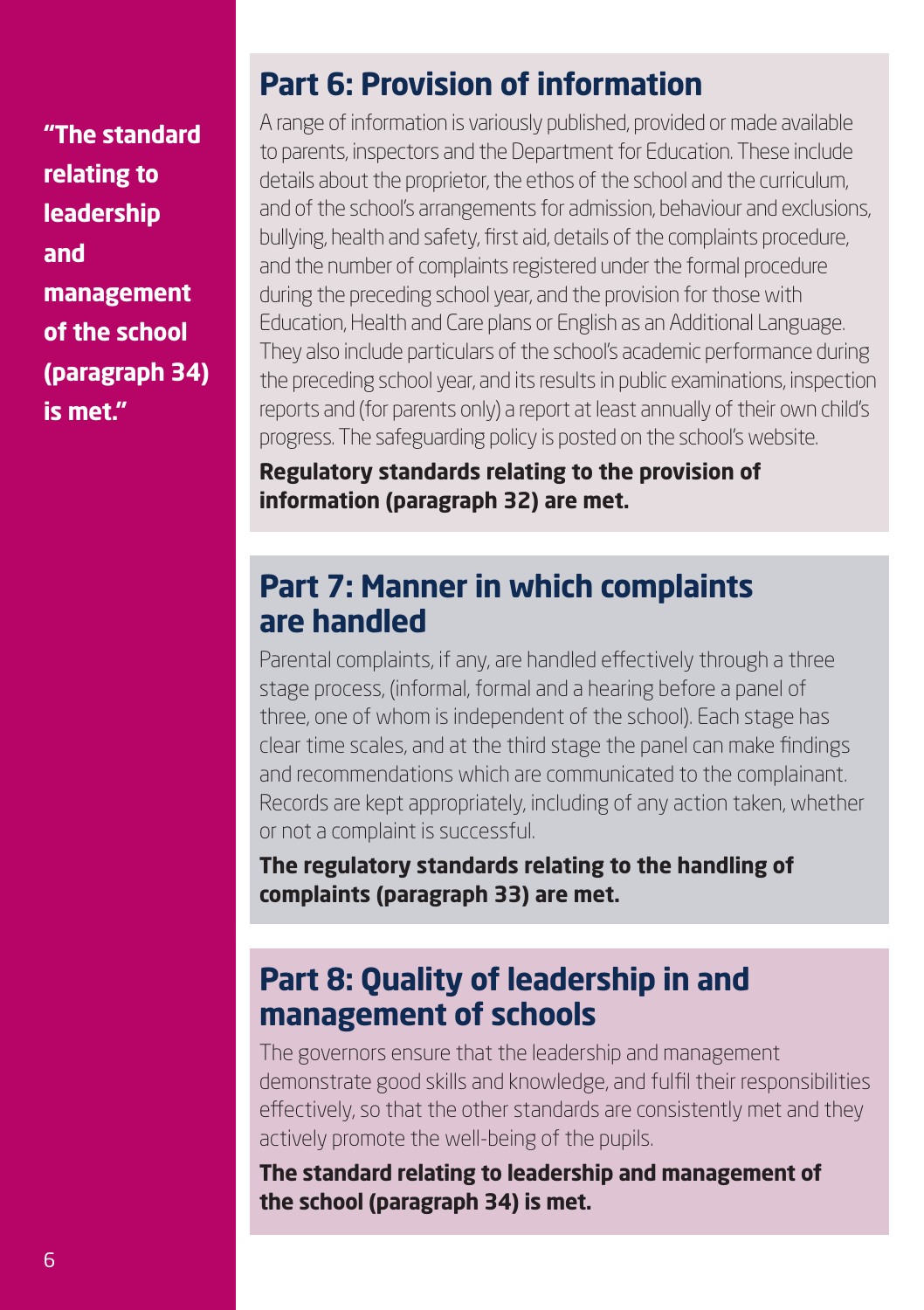**"The standard relating to leadership and management of the school (paragraph 34) is met."**

# **Part 6: Provision of information**

A range of information is variously published, provided or made available to parents, inspectors and the Department for Education. These include details about the proprietor, the ethos of the school and the curriculum, and of the school's arrangements for admission, behaviour and exclusions, bullying, health and safety, first aid, details of the complaints procedure, and the number of complaints registered under the formal procedure during the preceding school year, and the provision for those with Education, Health and Care plans or English as an Additional Language. They also include particulars of the school's academic performance during the preceding school year, and its results in public examinations, inspection reports and (for parents only) a report at least annually of their own child's progress. The safeguarding policy is posted on the school's website.

**Regulatory standards relating to the provision of information (paragraph 32) are met.**

### **Part 7: Manner in which complaints are handled**

Parental complaints, if any, are handled effectively through a three stage process, (informal, formal and a hearing before a panel of three, one of whom is independent of the school). Each stage has clear time scales, and at the third stage the panel can make findings and recommendations which are communicated to the complainant. Records are kept appropriately, including of any action taken, whether or not a complaint is successful.

**The regulatory standards relating to the handling of complaints (paragraph 33) are met.**

# **Part 8: Quality of leadership in and management of schools**

The governors ensure that the leadership and management demonstrate good skills and knowledge, and fulfil their responsibilities effectively, so that the other standards are consistently met and they actively promote the well-being of the pupils.

**The standard relating to leadership and management of the school (paragraph 34) is met.**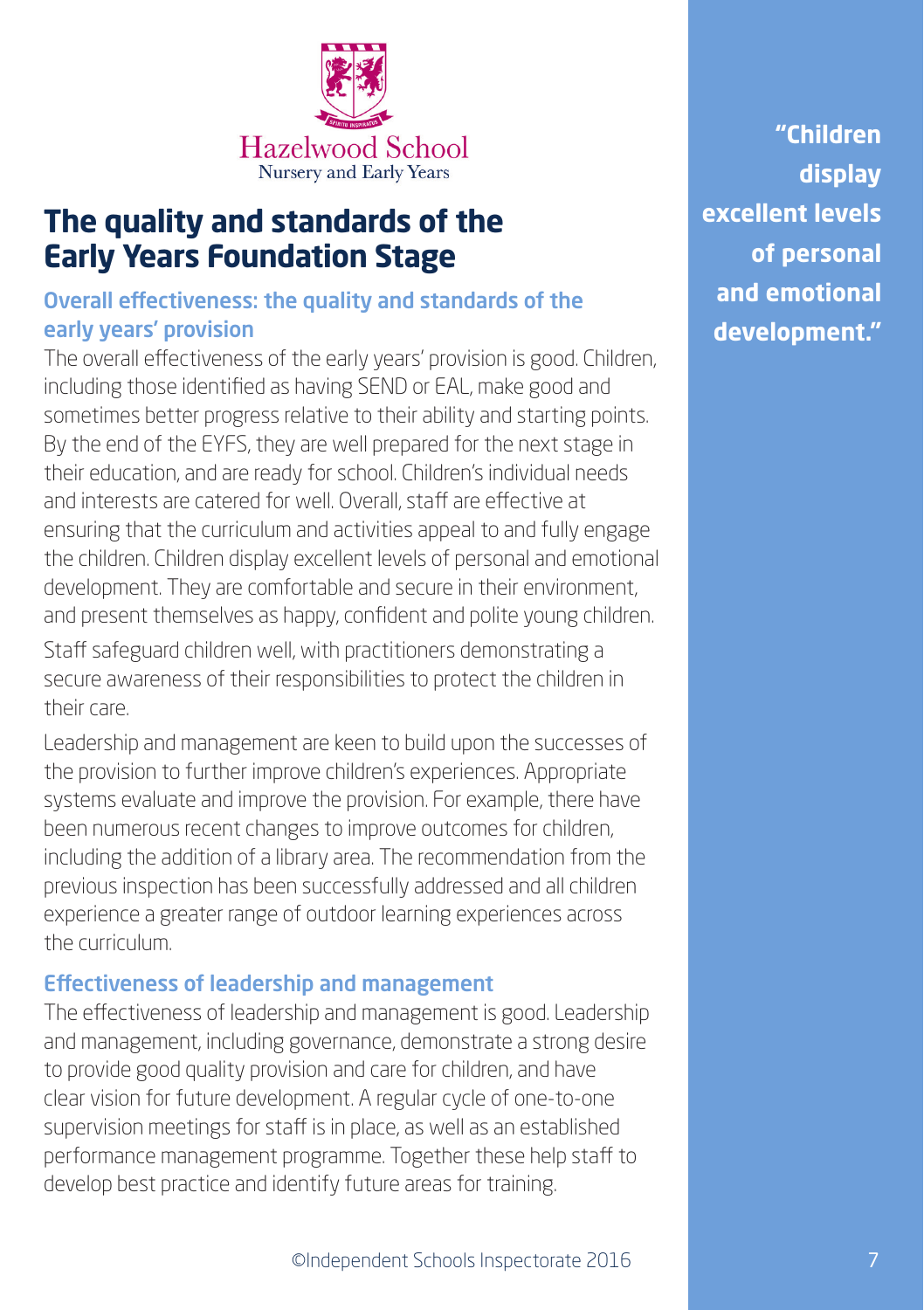

### **The quality and standards of the Early Years Foundation Stage**

### Overall effectiveness: the quality and standards of the early years' provision

The overall effectiveness of the early years' provision is good. Children, including those identified as having SEND or EAL, make good and sometimes better progress relative to their ability and starting points. By the end of the EYFS, they are well prepared for the next stage in their education, and are ready for school. Children's individual needs and interests are catered for well. Overall, staff are effective at ensuring that the curriculum and activities appeal to and fully engage the children. Children display excellent levels of personal and emotional development. They are comfortable and secure in their environment, and present themselves as happy, confident and polite young children.

Staff safeguard children well, with practitioners demonstrating a secure awareness of their responsibilities to protect the children in their care.

Leadership and management are keen to build upon the successes of the provision to further improve children's experiences. Appropriate systems evaluate and improve the provision. For example, there have been numerous recent changes to improve outcomes for children, including the addition of a library area. The recommendation from the previous inspection has been successfully addressed and all children experience a greater range of outdoor learning experiences across the curriculum.

#### Effectiveness of leadership and management

The effectiveness of leadership and management is good. Leadership and management, including governance, demonstrate a strong desire to provide good quality provision and care for children, and have clear vision for future development. A regular cycle of one-to-one supervision meetings for staff is in place, as well as an established performance management programme. Together these help staff to develop best practice and identify future areas for training.

**"Children display excellent levels of personal and emotional development."**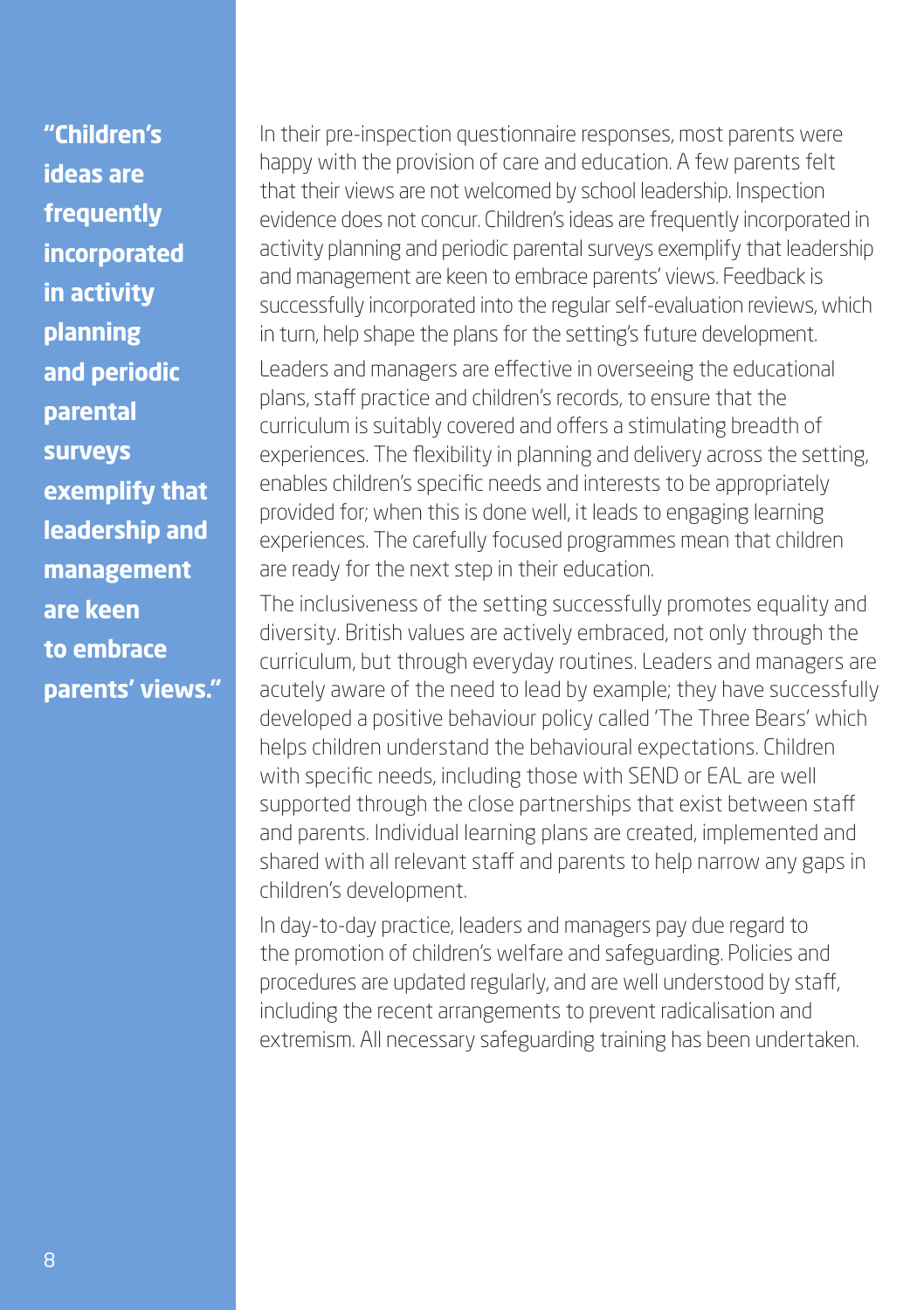**"Children's ideas are frequently incorporated in activity planning and periodic parental surveys exemplify that leadership and management are keen to embrace parents' views."** In their pre-inspection questionnaire responses, most parents were happy with the provision of care and education. A few parents felt that their views are not welcomed by school leadership. Inspection evidence does not concur. Children's ideas are frequently incorporated in activity planning and periodic parental surveys exemplify that leadership and management are keen to embrace parents' views. Feedback is successfully incorporated into the regular self-evaluation reviews, which in turn, help shape the plans for the setting's future development.

Leaders and managers are effective in overseeing the educational plans, staff practice and children's records, to ensure that the curriculum is suitably covered and offers a stimulating breadth of experiences. The flexibility in planning and delivery across the setting, enables children's specific needs and interests to be appropriately provided for; when this is done well, it leads to engaging learning experiences. The carefully focused programmes mean that children are ready for the next step in their education.

The inclusiveness of the setting successfully promotes equality and diversity. British values are actively embraced, not only through the curriculum, but through everyday routines. Leaders and managers are acutely aware of the need to lead by example; they have successfully developed a positive behaviour policy called 'The Three Bears' which helps children understand the behavioural expectations. Children with specific needs, including those with SEND or EAL are well supported through the close partnerships that exist between staff and parents. Individual learning plans are created, implemented and shared with all relevant staff and parents to help narrow any gaps in children's development.

In day-to-day practice, leaders and managers pay due regard to the promotion of children's welfare and safeguarding. Policies and procedures are updated regularly, and are well understood by staff, including the recent arrangements to prevent radicalisation and extremism. All necessary safeguarding training has been undertaken.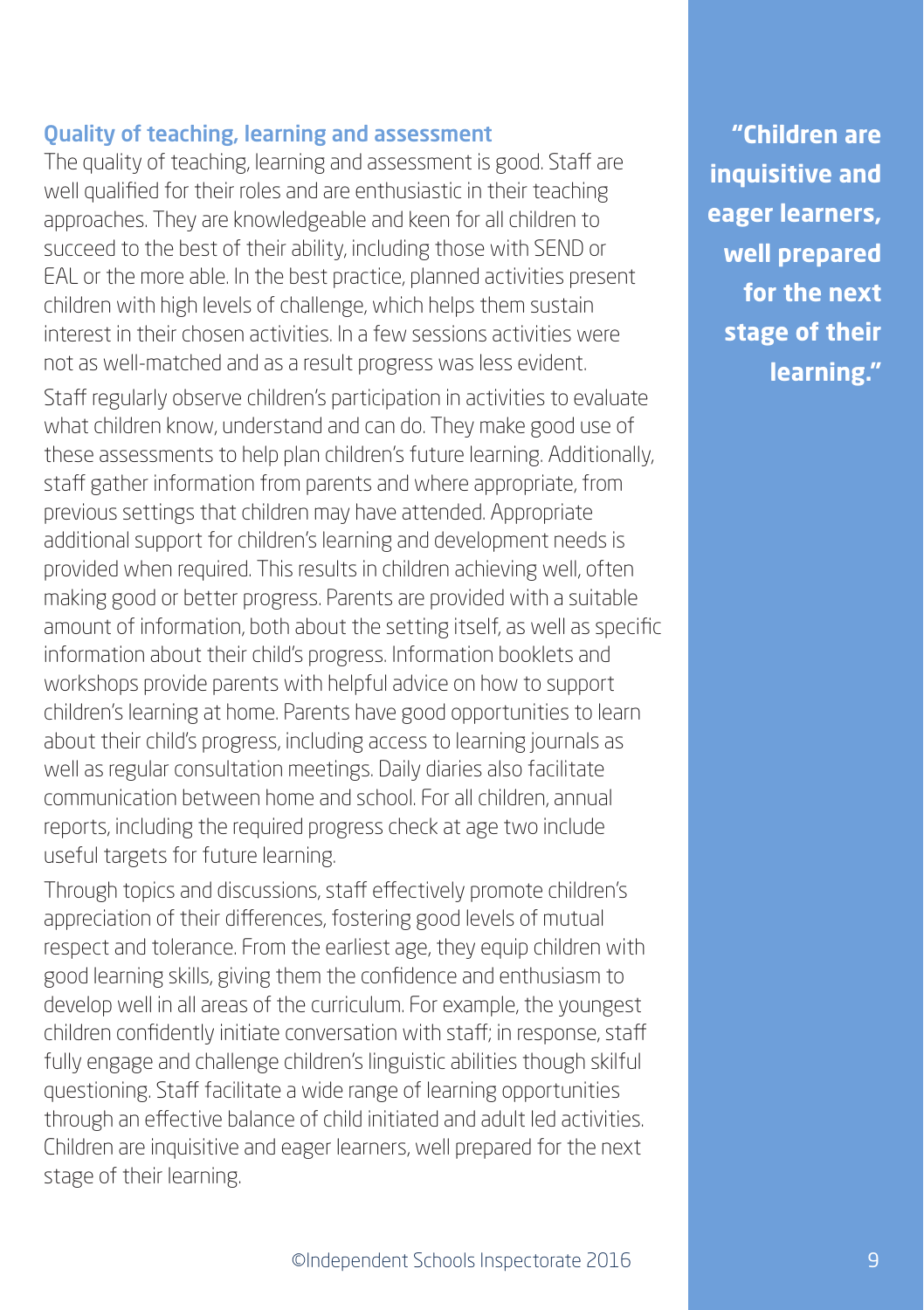#### Quality of teaching, learning and assessment

The quality of teaching, learning and assessment is good. Staff are well qualified for their roles and are enthusiastic in their teaching approaches. They are knowledgeable and keen for all children to succeed to the best of their ability, including those with SEND or EAL or the more able. In the best practice, planned activities present children with high levels of challenge, which helps them sustain interest in their chosen activities. In a few sessions activities were not as well-matched and as a result progress was less evident.

Staff regularly observe children's participation in activities to evaluate what children know, understand and can do. They make good use of these assessments to help plan children's future learning. Additionally, staff gather information from parents and where appropriate, from previous settings that children may have attended. Appropriate additional support for children's learning and development needs is provided when required. This results in children achieving well, often making good or better progress. Parents are provided with a suitable amount of information, both about the setting itself, as well as specific information about their child's progress. Information booklets and workshops provide parents with helpful advice on how to support children's learning at home. Parents have good opportunities to learn about their child's progress, including access to learning journals as well as regular consultation meetings. Daily diaries also facilitate communication between home and school. For all children, annual reports, including the required progress check at age two include useful targets for future learning.

Through topics and discussions, staff effectively promote children's appreciation of their differences, fostering good levels of mutual respect and tolerance. From the earliest age, they equip children with good learning skills, giving them the confidence and enthusiasm to develop well in all areas of the curriculum. For example, the youngest children confidently initiate conversation with staff; in response, staff fully engage and challenge children's linguistic abilities though skilful questioning. Staff facilitate a wide range of learning opportunities through an effective balance of child initiated and adult led activities. Children are inquisitive and eager learners, well prepared for the next stage of their learning.

**"Children are inquisitive and eager learners, well prepared for the next stage of their learning."**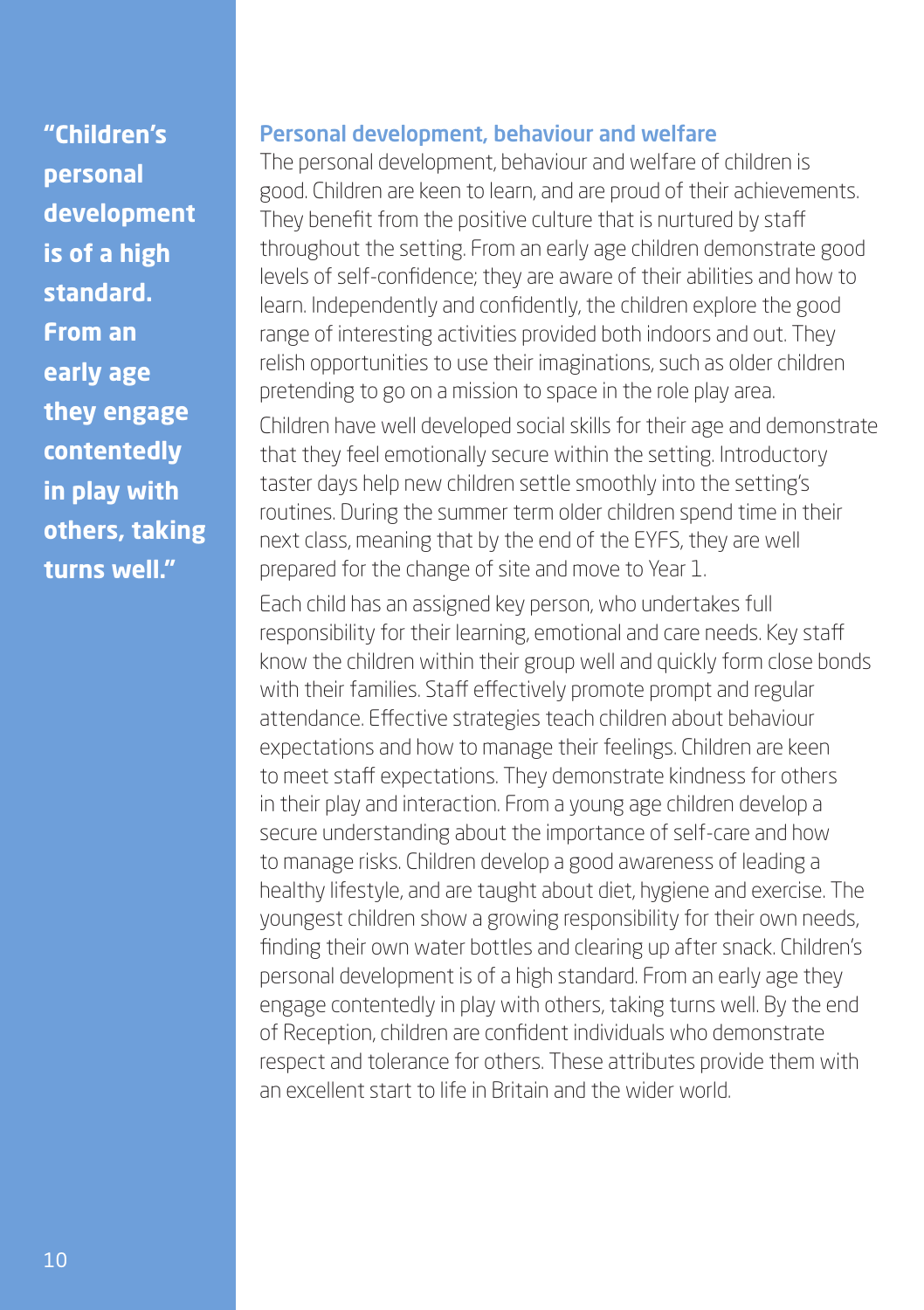**"Children's personal development is of a high standard. From an early age they engage contentedly in play with others, taking turns well."**

#### Personal development, behaviour and welfare

The personal development, behaviour and welfare of children is good. Children are keen to learn, and are proud of their achievements. They benefit from the positive culture that is nurtured by staff throughout the setting. From an early age children demonstrate good levels of self-confidence; they are aware of their abilities and how to learn. Independently and confidently, the children explore the good range of interesting activities provided both indoors and out. They relish opportunities to use their imaginations, such as older children pretending to go on a mission to space in the role play area.

Children have well developed social skills for their age and demonstrate that they feel emotionally secure within the setting. Introductory taster days help new children settle smoothly into the setting's routines. During the summer term older children spend time in their next class, meaning that by the end of the EYFS, they are well prepared for the change of site and move to Year 1.

Each child has an assigned key person, who undertakes full responsibility for their learning, emotional and care needs. Key staff know the children within their group well and quickly form close bonds with their families. Staff effectively promote prompt and regular attendance. Effective strategies teach children about behaviour expectations and how to manage their feelings. Children are keen to meet staff expectations. They demonstrate kindness for others in their play and interaction. From a young age children develop a secure understanding about the importance of self-care and how to manage risks. Children develop a good awareness of leading a healthy lifestyle, and are taught about diet, hygiene and exercise. The youngest children show a growing responsibility for their own needs, finding their own water bottles and clearing up after snack. Children's personal development is of a high standard. From an early age they engage contentedly in play with others, taking turns well. By the end of Reception, children are confident individuals who demonstrate respect and tolerance for others. These attributes provide them with an excellent start to life in Britain and the wider world.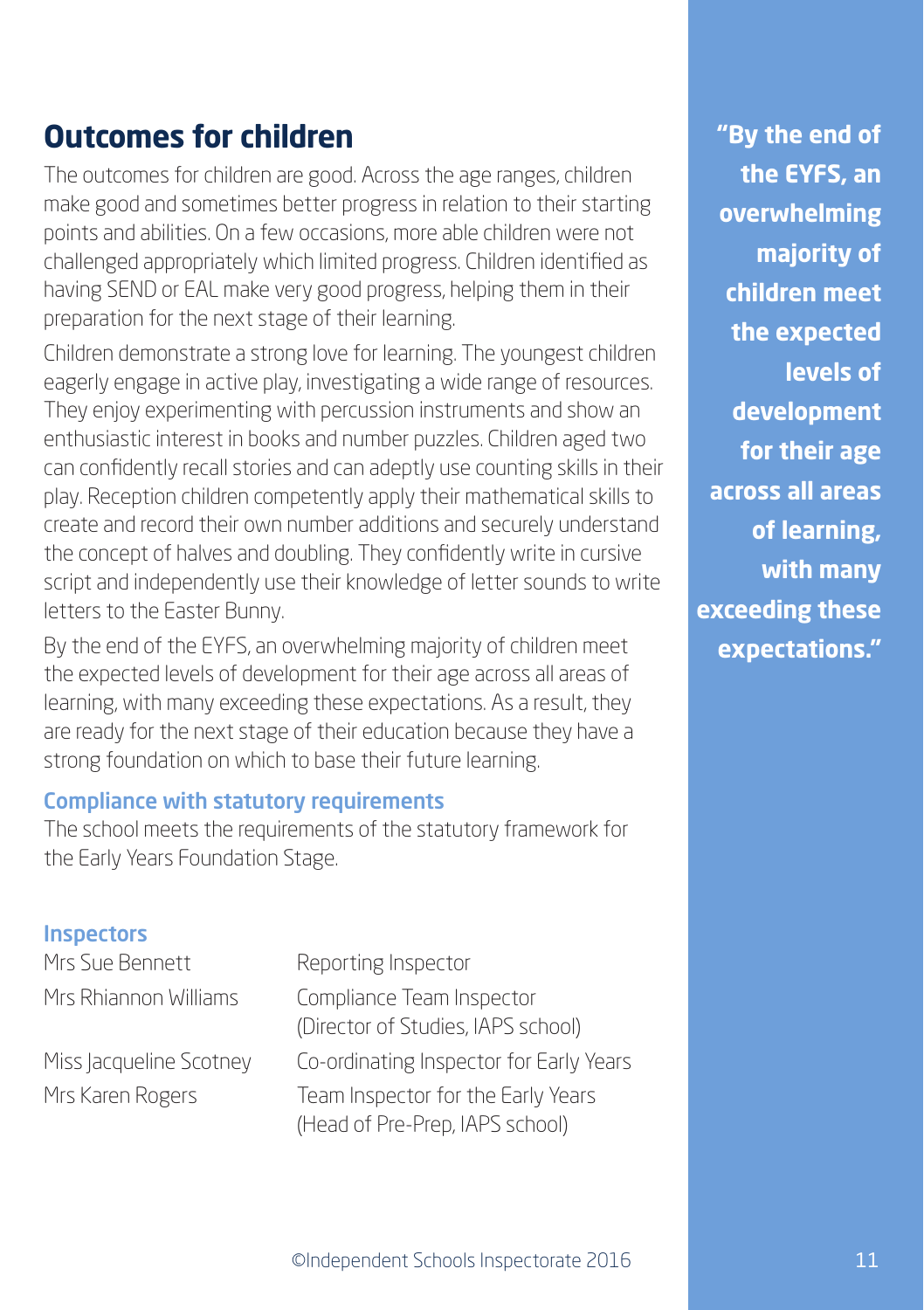# **Outcomes for children**

The outcomes for children are good. Across the age ranges, children make good and sometimes better progress in relation to their starting points and abilities. On a few occasions, more able children were not challenged appropriately which limited progress. Children identified as having SEND or EAL make very good progress, helping them in their preparation for the next stage of their learning.

Children demonstrate a strong love for learning. The youngest children eagerly engage in active play, investigating a wide range of resources. They enjoy experimenting with percussion instruments and show an enthusiastic interest in books and number puzzles. Children aged two can confidently recall stories and can adeptly use counting skills in their play. Reception children competently apply their mathematical skills to create and record their own number additions and securely understand the concept of halves and doubling. They confidently write in cursive script and independently use their knowledge of letter sounds to write letters to the Easter Bunny.

By the end of the EYFS, an overwhelming majority of children meet the expected levels of development for their age across all areas of learning, with many exceeding these expectations. As a result, they are ready for the next stage of their education because they have a strong foundation on which to base their future learning.

#### Compliance with statutory requirements

The school meets the requirements of the statutory framework for the Early Years Foundation Stage.

#### **Inspectors**

Mrs Sue Bennett Reporting Inspector

Mrs Rhiannon Williams Compliance Team Inspector (Director of Studies, IAPS school) Miss Jacqueline Scotney Co-ordinating Inspector for Early Years Mrs Karen Rogers Team Inspector for the Early Years (Head of Pre-Prep, IAPS school)

**"By the end of the EYFS, an overwhelming majority of children meet the expected levels of development for their age across all areas of learning, with many exceeding these expectations."**